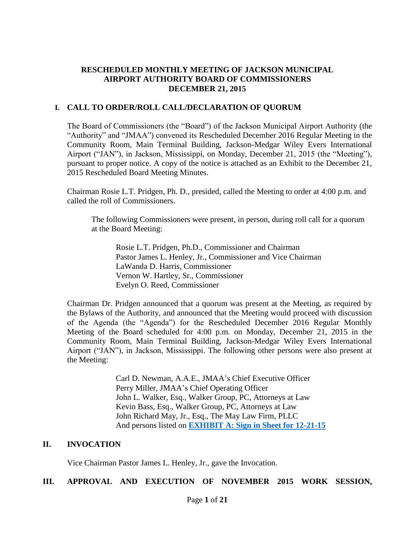# **RESCHEDULED MONTHLY MEETING OF JACKSON MUNICIPAL AIRPORT AUTHORITY BOARD OF COMMISSIONERS DECEMBER 21, 2015**

#### **I. CALL TO ORDER/ROLL CALL/DECLARATION OF QUORUM**

The Board of Commissioners (the "Board") of the Jackson Municipal Airport Authority (the "Authority" and "JMAA") convened its Rescheduled December 2016 Regular Meeting in the Community Room, Main Terminal Building, Jackson-Medgar Wiley Evers International Airport ("JAN"), in Jackson, Mississippi, on Monday, December 21, 2015 (the "Meeting"), pursuant to proper notice. A copy of the notice is attached as an Exhibit to the December 21, 2015 Rescheduled Board Meeting Minutes.

Chairman Rosie L.T. Pridgen, Ph. D., presided, called the Meeting to order at 4:00 p.m. and called the roll of Commissioners.

The following Commissioners were present, in person, during roll call for a quorum at the Board Meeting:

Rosie L.T. Pridgen, Ph.D., Commissioner and Chairman Pastor James L. Henley, Jr., Commissioner and Vice Chairman LaWanda D. Harris, Commissioner Vernon W. Hartley, Sr., Commissioner Evelyn O. Reed, Commissioner

Chairman Dr. Pridgen announced that a quorum was present at the Meeting, as required by the Bylaws of the Authority, and announced that the Meeting would proceed with discussion of the Agenda (the "Agenda") for the Rescheduled December 2016 Regular Monthly Meeting of the Board scheduled for 4:00 p.m. on Monday, December 21, 2015 in the Community Room, Main Terminal Building, Jackson-Medgar Wiley Evers International Airport ("JAN"), in Jackson, Mississippi. The following other persons were also present at the Meeting:

> Carl D. Newman, A.A.E., JMAA's Chief Executive Officer Perry Miller, JMAA's Chief Operating Officer John L. Walker, Esq., Walker Group, PC, Attorneys at Law Kevin Bass, Esq., Walker Group, PC, Attorneys at Law John Richard May, Jr., Esq., The May Law Firm, PLLC And persons listed on **[EXHIBIT A: Sign in Sheet for 12-21-15](Nov%2023%20sign-in%20sheet.pdf)**

### **II. INVOCATION**

Vice Chairman Pastor James L. Henley, Jr., gave the Invocation.

# **III. APPROVAL AND EXECUTION OF NOVEMBER 2015 WORK SESSION,**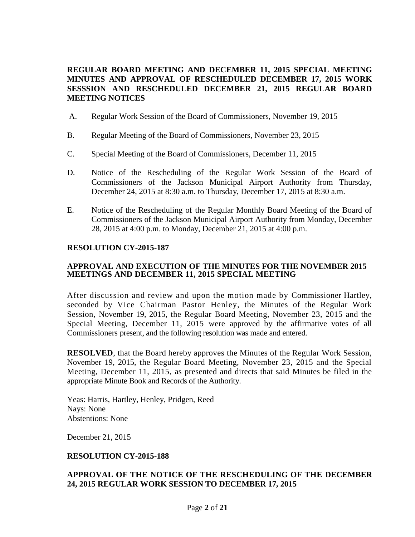### **REGULAR BOARD MEETING AND DECEMBER 11, 2015 SPECIAL MEETING MINUTES AND APPROVAL OF RESCHEDULED DECEMBER 17, 2015 WORK SESSSION AND RESCHEDULED DECEMBER 21, 2015 REGULAR BOARD MEETING NOTICES**

- A. Regular Work Session of the Board of Commissioners, November 19, 2015
- B. Regular Meeting of the Board of Commissioners, November 23, 2015
- C. Special Meeting of the Board of Commissioners, December 11, 2015
- D. Notice of the Rescheduling of the Regular Work Session of the Board of Commissioners of the Jackson Municipal Airport Authority from Thursday, December 24, 2015 at 8:30 a.m. to Thursday, December 17, 2015 at 8:30 a.m.
- E. Notice of the Rescheduling of the Regular Monthly Board Meeting of the Board of Commissioners of the Jackson Municipal Airport Authority from Monday, December 28, 2015 at 4:00 p.m. to Monday, December 21, 2015 at 4:00 p.m.

#### **RESOLUTION CY-2015-187**

#### **APPROVAL AND EXECUTION OF THE MINUTES FOR THE NOVEMBER 2015 MEETINGS AND DECEMBER 11, 2015 SPECIAL MEETING**

After discussion and review and upon the motion made by Commissioner Hartley, seconded by Vice Chairman Pastor Henley, the Minutes of the Regular Work Session, November 19, 2015, the Regular Board Meeting, November 23, 2015 and the Special Meeting, December 11, 2015 were approved by the affirmative votes of all Commissioners present, and the following resolution was made and entered.

**RESOLVED**, that the Board hereby approves the Minutes of the Regular Work Session, November 19, 2015, the Regular Board Meeting, November 23, 2015 and the Special Meeting, December 11, 2015, as presented and directs that said Minutes be filed in the appropriate Minute Book and Records of the Authority.

Yeas: Harris, Hartley, Henley, Pridgen, Reed Nays: None Abstentions: None

December 21, 2015

#### **RESOLUTION CY-2015-188**

#### **APPROVAL OF THE NOTICE OF THE RESCHEDULING OF THE DECEMBER 24, 2015 REGULAR WORK SESSION TO DECEMBER 17, 2015**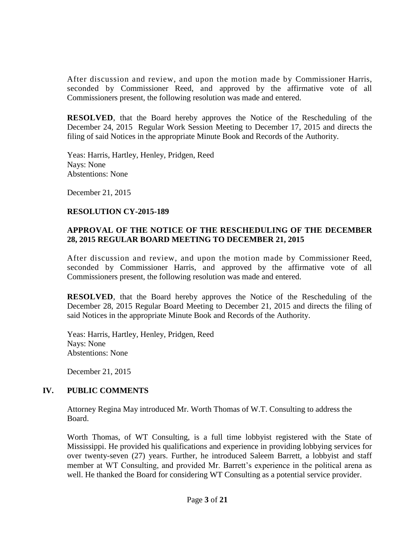After discussion and review, and upon the motion made by Commissioner Harris, seconded by Commissioner Reed, and approved by the affirmative vote of all Commissioners present, the following resolution was made and entered.

**RESOLVED**, that the Board hereby approves the Notice of the Rescheduling of the December 24, 2015 Regular Work Session Meeting to December 17, 2015 and directs the filing of said Notices in the appropriate Minute Book and Records of the Authority.

Yeas: Harris, Hartley, Henley, Pridgen, Reed Nays: None Abstentions: None

December 21, 2015

#### **RESOLUTION CY-2015-189**

# **APPROVAL OF THE NOTICE OF THE RESCHEDULING OF THE DECEMBER 28, 2015 REGULAR BOARD MEETING TO DECEMBER 21, 2015**

After discussion and review, and upon the motion made by Commissioner Reed, seconded by Commissioner Harris, and approved by the affirmative vote of all Commissioners present, the following resolution was made and entered.

**RESOLVED**, that the Board hereby approves the Notice of the Rescheduling of the December 28, 2015 Regular Board Meeting to December 21, 2015 and directs the filing of said Notices in the appropriate Minute Book and Records of the Authority.

Yeas: Harris, Hartley, Henley, Pridgen, Reed Nays: None Abstentions: None

December 21, 2015

# **IV. PUBLIC COMMENTS**

Attorney Regina May introduced Mr. Worth Thomas of W.T. Consulting to address the Board.

Worth Thomas, of WT Consulting, is a full time lobbyist registered with the State of Mississippi. He provided his qualifications and experience in providing lobbying services for over twenty-seven (27) years. Further, he introduced Saleem Barrett, a lobbyist and staff member at WT Consulting, and provided Mr. Barrett's experience in the political arena as well. He thanked the Board for considering WT Consulting as a potential service provider.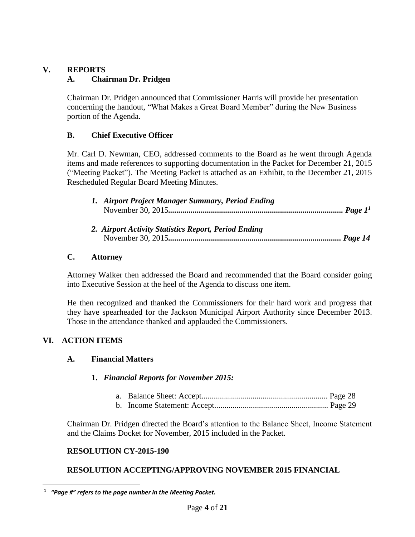# **V. REPORTS A. Chairman Dr. Pridgen**

Chairman Dr. Pridgen announced that Commissioner Harris will provide her presentation concerning the handout, "What Makes a Great Board Member" during the New Business portion of the Agenda.

# **B. Chief Executive Officer**

Mr. Carl D. Newman, CEO, addressed comments to the Board as he went through Agenda items and made references to supporting documentation in the Packet for December 21, 2015 ("Meeting Packet"). The Meeting Packet is attached as an [Exhibit,](../2015-02%20Board%20Meeting/Packet.pdf) to the December 21, 2015 Rescheduled Regular Board Meeting Minutes.

| 1. Airport Project Manager Summary, Period Ending    |  |
|------------------------------------------------------|--|
| 2. Airport Activity Statistics Report, Period Ending |  |

November 30, 2015*..................................................................................... Page 14*

# **C. Attorney**

Attorney Walker then addressed the Board and recommended that the Board consider going into Executive Session at the heel of the Agenda to discuss one item.

He then recognized and thanked the Commissioners for their hard work and progress that they have spearheaded for the Jackson Municipal Airport Authority since December 2013. Those in the attendance thanked and applauded the Commissioners.

# **VI. ACTION ITEMS**

# **A. Financial Matters**

# **1.** *Financial Reports for November 2015:*

Chairman Dr. Pridgen directed the Board's attention to the Balance Sheet, Income Statement and the Claims Docket for November, 2015 included in the Packet.

# **RESOLUTION CY-2015-190**

# **RESOLUTION ACCEPTING/APPROVING NOVEMBER 2015 FINANCIAL**

 $\overline{a}$ 1  *"Page #" refers to the page number in the Meeting Packet.*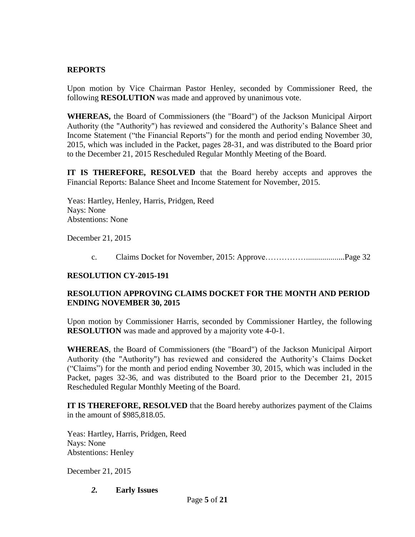### **REPORTS**

Upon motion by Vice Chairman Pastor Henley, seconded by Commissioner Reed, the following **RESOLUTION** was made and approved by unanimous vote.

**WHEREAS,** the Board of Commissioners (the "Board") of the Jackson Municipal Airport Authority (the "Authority") has reviewed and considered the Authority's Balance Sheet and Income Statement ("the Financial Reports") for the month and period ending November 30, 2015, which was included in the Packet, pages 28-31, and was distributed to the Board prior to the December 21, 2015 Rescheduled Regular Monthly Meeting of the Board.

**IT IS THEREFORE, RESOLVED** that the Board hereby accepts and approves the Financial Reports: Balance Sheet and Income Statement for November, 2015.

 Yeas: Hartley, Henley, Harris, Pridgen, Reed Nays: None Abstentions: None

December 21, 2015

c. Claims Docket for November, 2015: Approve……………...................Page 32

# **RESOLUTION CY-2015-191**

# **RESOLUTION APPROVING CLAIMS DOCKET FOR THE MONTH AND PERIOD ENDING NOVEMBER 30, 2015**

Upon motion by Commissioner Harris, seconded by Commissioner Hartley, the following **RESOLUTION** was made and approved by a majority vote 4-0-1.

**WHEREAS**, the Board of Commissioners (the "Board") of the Jackson Municipal Airport Authority (the "Authority") has reviewed and considered the Authority's Claims Docket ("Claims") for the month and period ending November 30, 2015, which was included in the Packet, pages 32-36, and was distributed to the Board prior to the December 21, 2015 Rescheduled Regular Monthly Meeting of the Board.

**IT IS THEREFORE, RESOLVED** that the Board hereby authorizes payment of the Claims in the amount of \$985,818.05.

Yeas: Hartley, Harris, Pridgen, Reed Nays: None Abstentions: Henley

December 21, 2015

*2.* **Early Issues**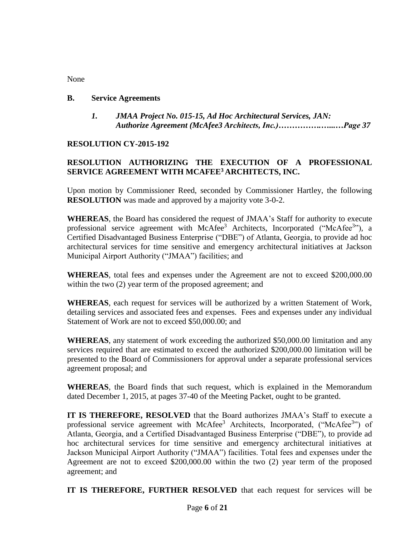# None

#### **B. Service Agreements**

*1. JMAA Project No. 015-15, Ad Hoc Architectural Services, JAN: Authorize Agreement (McAfee3 Architects, Inc.)…………….…...…Page 37*

# **RESOLUTION CY-2015-192**

# **RESOLUTION AUTHORIZING THE EXECUTION OF A PROFESSIONAL SERVICE AGREEMENT WITH MCAFEE<sup>3</sup> ARCHITECTS, INC.**

Upon motion by Commissioner Reed, seconded by Commissioner Hartley, the following **RESOLUTION** was made and approved by a majority vote 3-0-2.

**WHEREAS**, the Board has considered the request of JMAA's Staff for authority to execute professional service agreement with McAfee<sup>3</sup> Architects, Incorporated ("McAfee<sup>3</sup>"), a Certified Disadvantaged Business Enterprise ("DBE") of Atlanta, Georgia, to provide ad hoc architectural services for time sensitive and emergency architectural initiatives at Jackson Municipal Airport Authority ("JMAA") facilities; and

**WHEREAS**, total fees and expenses under the Agreement are not to exceed \$200,000.00 within the two  $(2)$  year term of the proposed agreement; and

**WHEREAS**, each request for services will be authorized by a written Statement of Work, detailing services and associated fees and expenses. Fees and expenses under any individual Statement of Work are not to exceed \$50,000.00; and

**WHEREAS**, any statement of work exceeding the authorized \$50,000.00 limitation and any services required that are estimated to exceed the authorized \$200,000.00 limitation will be presented to the Board of Commissioners for approval under a separate professional services agreement proposal; and

**WHEREAS**, the Board finds that such request, which is explained in the Memorandum dated December 1, 2015, at pages 37-40 of the Meeting Packet, ought to be granted.

**IT IS THEREFORE, RESOLVED** that the Board authorizes JMAA's Staff to execute a professional service agreement with McAfee<sup>3</sup> Architects, Incorporated, ("McAfee<sup>3</sup>") of Atlanta, Georgia, and a Certified Disadvantaged Business Enterprise ("DBE"), to provide ad hoc architectural services for time sensitive and emergency architectural initiatives at Jackson Municipal Airport Authority ("JMAA") facilities. Total fees and expenses under the Agreement are not to exceed \$200,000.00 within the two (2) year term of the proposed agreement; and

**IT IS THEREFORE, FURTHER RESOLVED** that each request for services will be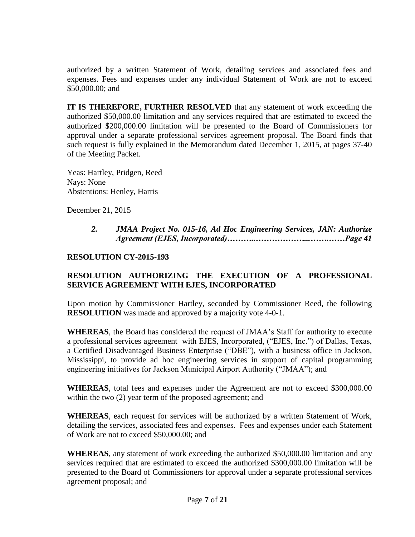authorized by a written Statement of Work, detailing services and associated fees and expenses. Fees and expenses under any individual Statement of Work are not to exceed \$50,000.00; and

**IT IS THEREFORE, FURTHER RESOLVED** that any statement of work exceeding the authorized \$50,000.00 limitation and any services required that are estimated to exceed the authorized \$200,000.00 limitation will be presented to the Board of Commissioners for approval under a separate professional services agreement proposal. The Board finds that such request is fully explained in the Memorandum dated December 1, 2015, at pages 37-40 of the Meeting Packet.

Yeas: Hartley, Pridgen, Reed Nays: None Abstentions: Henley, Harris

December 21, 2015

*2. JMAA Project No. 015-16, Ad Hoc Engineering Services, JAN: Authorize Agreement (EJES, Incorporated)………..………………...…….……Page 41*

# **RESOLUTION CY-2015-193**

# **RESOLUTION AUTHORIZING THE EXECUTION OF A PROFESSIONAL SERVICE AGREEMENT WITH EJES, INCORPORATED**

Upon motion by Commissioner Hartley, seconded by Commissioner Reed, the following **RESOLUTION** was made and approved by a majority vote 4-0-1.

**WHEREAS**, the Board has considered the request of JMAA's Staff for authority to execute a professional services agreement with EJES, Incorporated, ("EJES, Inc.") of Dallas, Texas, a Certified Disadvantaged Business Enterprise ("DBE"), with a business office in Jackson, Mississippi, to provide ad hoc engineering services in support of capital programming engineering initiatives for Jackson Municipal Airport Authority ("JMAA"); and

**WHEREAS**, total fees and expenses under the Agreement are not to exceed \$300,000.00 within the two (2) year term of the proposed agreement; and

**WHEREAS**, each request for services will be authorized by a written Statement of Work, detailing the services, associated fees and expenses. Fees and expenses under each Statement of Work are not to exceed \$50,000.00; and

**WHEREAS**, any statement of work exceeding the authorized \$50,000.00 limitation and any services required that are estimated to exceed the authorized \$300,000.00 limitation will be presented to the Board of Commissioners for approval under a separate professional services agreement proposal; and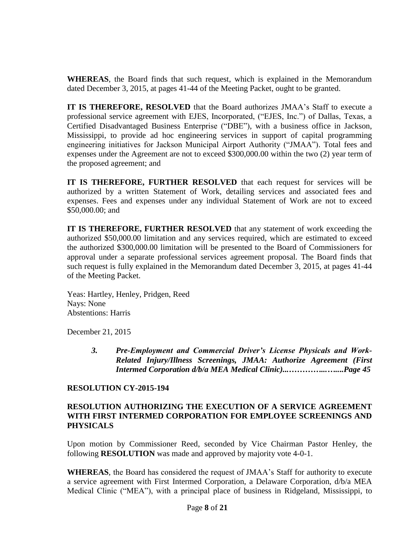**WHEREAS**, the Board finds that such request, which is explained in the Memorandum dated December 3, 2015, at pages 41-44 of the Meeting Packet, ought to be granted.

**IT IS THEREFORE, RESOLVED** that the Board authorizes JMAA's Staff to execute a professional service agreement with EJES, Incorporated, ("EJES, Inc.") of Dallas, Texas, a Certified Disadvantaged Business Enterprise ("DBE"), with a business office in Jackson, Mississippi, to provide ad hoc engineering services in support of capital programming engineering initiatives for Jackson Municipal Airport Authority ("JMAA"). Total fees and expenses under the Agreement are not to exceed \$300,000.00 within the two (2) year term of the proposed agreement; and

**IT IS THEREFORE, FURTHER RESOLVED** that each request for services will be authorized by a written Statement of Work, detailing services and associated fees and expenses. Fees and expenses under any individual Statement of Work are not to exceed \$50,000.00; and

**IT IS THEREFORE, FURTHER RESOLVED** that any statement of work exceeding the authorized \$50,000.00 limitation and any services required, which are estimated to exceed the authorized \$300,000.00 limitation will be presented to the Board of Commissioners for approval under a separate professional services agreement proposal. The Board finds that such request is fully explained in the Memorandum dated December 3, 2015, at pages 41-44 of the Meeting Packet.

Yeas: Hartley, Henley, Pridgen, Reed Nays: None Abstentions: Harris

December 21, 2015

*3. Pre-Employment and Commercial Driver's License Physicals and Work-Related Injury/Illness Screenings, JMAA: Authorize Agreement (First Intermed Corporation d/b/a MEA Medical Clinic)...…………...…....Page 45*

#### **RESOLUTION CY-2015-194**

#### **RESOLUTION AUTHORIZING THE EXECUTION OF A SERVICE AGREEMENT WITH FIRST INTERMED CORPORATION FOR EMPLOYEE SCREENINGS AND PHYSICALS**

Upon motion by Commissioner Reed, seconded by Vice Chairman Pastor Henley, the following **RESOLUTION** was made and approved by majority vote 4-0-1.

**WHEREAS**, the Board has considered the request of JMAA's Staff for authority to execute a service agreement with First Intermed Corporation, a Delaware Corporation, d/b/a MEA Medical Clinic ("MEA"), with a principal place of business in Ridgeland, Mississippi, to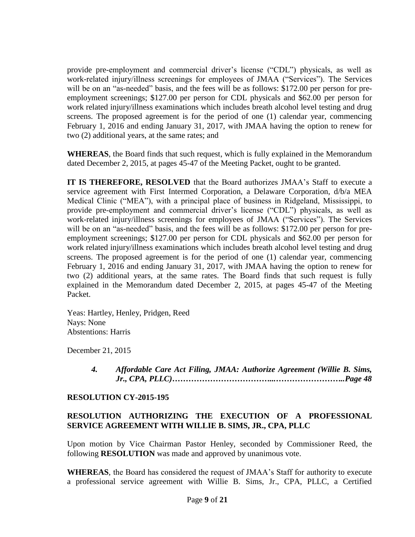provide pre-employment and commercial driver's license ("CDL") physicals, as well as work-related injury/illness screenings for employees of JMAA ("Services"). The Services will be on an "as-needed" basis, and the fees will be as follows: \$172.00 per person for preemployment screenings; \$127.00 per person for CDL physicals and \$62.00 per person for work related injury/illness examinations which includes breath alcohol level testing and drug screens. The proposed agreement is for the period of one (1) calendar year, commencing February 1, 2016 and ending January 31, 2017, with JMAA having the option to renew for two (2) additional years, at the same rates; and

**WHEREAS**, the Board finds that such request, which is fully explained in the Memorandum dated December 2, 2015, at pages 45-47 of the Meeting Packet, ought to be granted.

**IT IS THEREFORE, RESOLVED** that the Board authorizes JMAA's Staff to execute a service agreement with First Intermed Corporation, a Delaware Corporation, d/b/a MEA Medical Clinic ("MEA"), with a principal place of business in Ridgeland, Mississippi, to provide pre-employment and commercial driver's license ("CDL") physicals, as well as work-related injury/illness screenings for employees of JMAA ("Services"). The Services will be on an "as-needed" basis, and the fees will be as follows: \$172.00 per person for preemployment screenings; \$127.00 per person for CDL physicals and \$62.00 per person for work related injury/illness examinations which includes breath alcohol level testing and drug screens. The proposed agreement is for the period of one (1) calendar year, commencing February 1, 2016 and ending January 31, 2017, with JMAA having the option to renew for two (2) additional years, at the same rates. The Board finds that such request is fully explained in the Memorandum dated December 2, 2015, at pages 45-47 of the Meeting Packet.

Yeas: Hartley, Henley, Pridgen, Reed Nays: None Abstentions: Harris

December 21, 2015

*4. Affordable Care Act Filing, JMAA: Authorize Agreement (Willie B. Sims, Jr., CPA, PLLC)………………………………...……………………..Page 48*

# **RESOLUTION CY-2015-195**

# **RESOLUTION AUTHORIZING THE EXECUTION OF A PROFESSIONAL SERVICE AGREEMENT WITH WILLIE B. SIMS, JR., CPA, PLLC**

Upon motion by Vice Chairman Pastor Henley, seconded by Commissioner Reed, the following **RESOLUTION** was made and approved by unanimous vote.

**WHEREAS**, the Board has considered the request of JMAA's Staff for authority to execute a professional service agreement with Willie B. Sims, Jr., CPA, PLLC, a Certified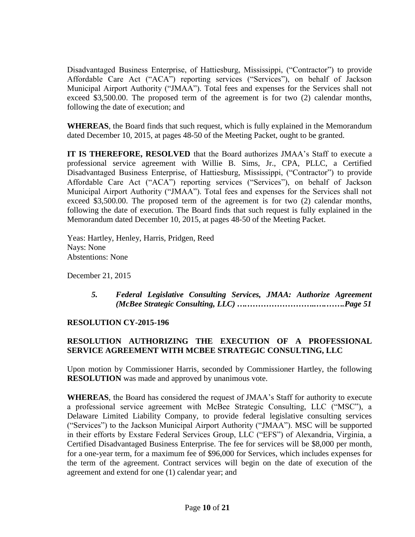Disadvantaged Business Enterprise, of Hattiesburg, Mississippi, ("Contractor") to provide Affordable Care Act ("ACA") reporting services ("Services"), on behalf of Jackson Municipal Airport Authority ("JMAA"). Total fees and expenses for the Services shall not exceed \$3,500.00. The proposed term of the agreement is for two (2) calendar months, following the date of execution; and

**WHEREAS**, the Board finds that such request, which is fully explained in the Memorandum dated December 10, 2015, at pages 48-50 of the Meeting Packet, ought to be granted.

**IT IS THEREFORE, RESOLVED** that the Board authorizes JMAA's Staff to execute a professional service agreement with Willie B. Sims, Jr., CPA, PLLC, a Certified Disadvantaged Business Enterprise, of Hattiesburg, Mississippi, ("Contractor") to provide Affordable Care Act ("ACA") reporting services ("Services"), on behalf of Jackson Municipal Airport Authority ("JMAA"). Total fees and expenses for the Services shall not exceed \$3,500.00. The proposed term of the agreement is for two (2) calendar months, following the date of execution. The Board finds that such request is fully explained in the Memorandum dated December 10, 2015, at pages 48-50 of the Meeting Packet.

Yeas: Hartley, Henley, Harris, Pridgen, Reed Nays: None Abstentions: None

December 21, 2015

*5. Federal Legislative Consulting Services, JMAA: Authorize Agreement (McBee Strategic Consulting, LLC) ….……………………..….…….Page 51*

# **RESOLUTION CY-2015-196**

# **RESOLUTION AUTHORIZING THE EXECUTION OF A PROFESSIONAL SERVICE AGREEMENT WITH MCBEE STRATEGIC CONSULTING, LLC**

Upon motion by Commissioner Harris, seconded by Commissioner Hartley, the following **RESOLUTION** was made and approved by unanimous vote.

**WHEREAS**, the Board has considered the request of JMAA's Staff for authority to execute a professional service agreement with McBee Strategic Consulting, LLC ("MSC"), a Delaware Limited Liability Company, to provide federal legislative consulting services ("Services") to the Jackson Municipal Airport Authority ("JMAA"). MSC will be supported in their efforts by Exstare Federal Services Group, LLC ("EFS") of Alexandria, Virginia, a Certified Disadvantaged Business Enterprise. The fee for services will be \$8,000 per month, for a one-year term, for a maximum fee of \$96,000 for Services, which includes expenses for the term of the agreement. Contract services will begin on the date of execution of the agreement and extend for one (1) calendar year; and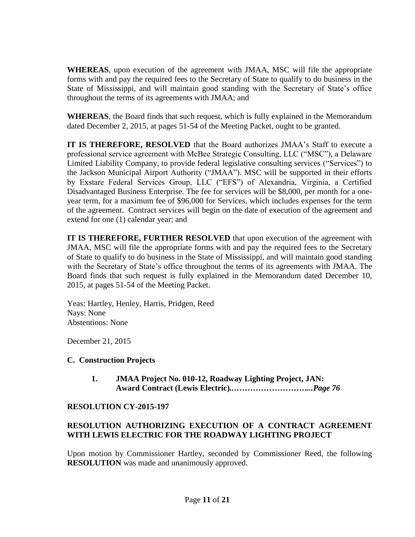**WHEREAS**, upon execution of the agreement with JMAA, MSC will file the appropriate forms with and pay the required fees to the Secretary of State to qualify to do business in the State of Mississippi, and will maintain good standing with the Secretary of State's office throughout the terms of its agreements with JMAA; and

**WHEREAS**, the Board finds that such request, which is fully explained in the Memorandum dated December 2, 2015, at pages 51-54 of the Meeting Packet, ought to be granted.

**IT IS THEREFORE, RESOLVED** that the Board authorizes JMAA's Staff to execute a professional service agreement with McBee Strategic Consulting, LLC ("MSC"), a Delaware Limited Liability Company, to provide federal legislative consulting services ("Services") to the Jackson Municipal Airport Authority ("JMAA"). MSC will be supported in their efforts by Exstare Federal Services Group, LLC ("EFS") of Alexandria, Virginia, a Certified Disadvantaged Business Enterprise. The fee for services will be \$8,000, per month for a oneyear term, for a maximum fee of \$96,000 for Services, which includes expenses for the term of the agreement. Contract services will begin on the date of execution of the agreement and extend for one (1) calendar year; and

**IT IS THEREFORE, FURTHER RESOLVED** that upon execution of the agreement with JMAA, MSC will file the appropriate forms with and pay the required fees to the Secretary of State to qualify to do business in the State of Mississippi, and will maintain good standing with the Secretary of State's office throughout the terms of its agreements with JMAA. The Board finds that such request is fully explained in the Memorandum dated December 10, 2015, at pages 51-54 of the Meeting Packet.

Yeas: Hartley, Henley, Harris, Pridgen, Reed Nays: None Abstentions: None

December 21, 2015

# **C. Construction Projects**

**1. JMAA Project No. 010-12, Roadway Lighting Project, JAN: Award Contract (Lewis Electric)***..………………………...Page 76*

# **RESOLUTION CY-2015-197**

# **RESOLUTION AUTHORIZING EXECUTION OF A CONTRACT AGREEMENT WITH LEWIS ELECTRIC FOR THE ROADWAY LIGHTING PROJECT**

Upon motion by Commissioner Hartley, seconded by Commissioner Reed, the following **RESOLUTION** was made and unanimously approved.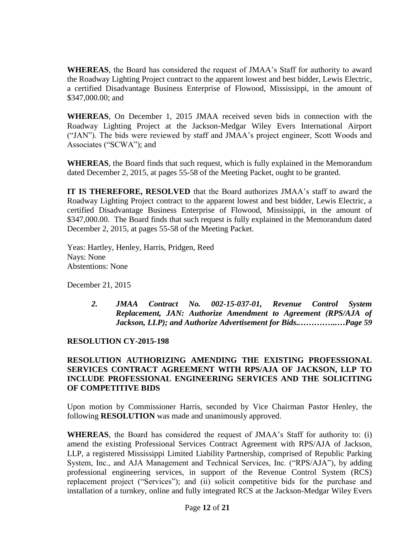**WHEREAS**, the Board has considered the request of JMAA's Staff for authority to award the Roadway Lighting Project contract to the apparent lowest and best bidder, Lewis Electric, a certified Disadvantage Business Enterprise of Flowood, Mississippi, in the amount of \$347,000.00; and

**WHEREAS**, On December 1, 2015 JMAA received seven bids in connection with the Roadway Lighting Project at the Jackson-Medgar Wiley Evers International Airport ("JAN"). The bids were reviewed by staff and JMAA's project engineer, Scott Woods and Associates ("SCWA"); and

**WHEREAS**, the Board finds that such request, which is fully explained in the Memorandum dated December 2, 2015, at pages 55-58 of the Meeting Packet, ought to be granted.

**IT IS THEREFORE, RESOLVED** that the Board authorizes JMAA's staff to award the Roadway Lighting Project contract to the apparent lowest and best bidder, Lewis Electric, a certified Disadvantage Business Enterprise of Flowood, Mississippi, in the amount of \$347,000.00. The Board finds that such request is fully explained in the Memorandum dated December 2, 2015, at pages 55-58 of the Meeting Packet.

Yeas: Hartley, Henley, Harris, Pridgen, Reed Nays: None Abstentions: None

December 21, 2015

*2. JMAA Contract No. 002-15-037-01, Revenue Control System Replacement, JAN: Authorize Amendment to Agreement (RPS/AJA of Jackson, LLP); and Authorize Advertisement for Bids..…………..…Page 59*

# **RESOLUTION CY-2015-198**

# **RESOLUTION AUTHORIZING AMENDING THE EXISTING PROFESSIONAL SERVICES CONTRACT AGREEMENT WITH RPS/AJA OF JACKSON, LLP TO INCLUDE PROFESSIONAL ENGINEERING SERVICES AND THE SOLICITING OF COMPETITIVE BIDS**

Upon motion by Commissioner Harris, seconded by Vice Chairman Pastor Henley, the following **RESOLUTION** was made and unanimously approved.

**WHEREAS**, the Board has considered the request of JMAA's Staff for authority to: (i) amend the existing Professional Services Contract Agreement with RPS/AJA of Jackson, LLP, a registered Mississippi Limited Liability Partnership, comprised of Republic Parking System, Inc., and AJA Management and Technical Services, Inc. ("RPS/AJA"), by adding professional engineering services, in support of the Revenue Control System (RCS) replacement project ("Services"); and (ii) solicit competitive bids for the purchase and installation of a turnkey, online and fully integrated RCS at the Jackson-Medgar Wiley Evers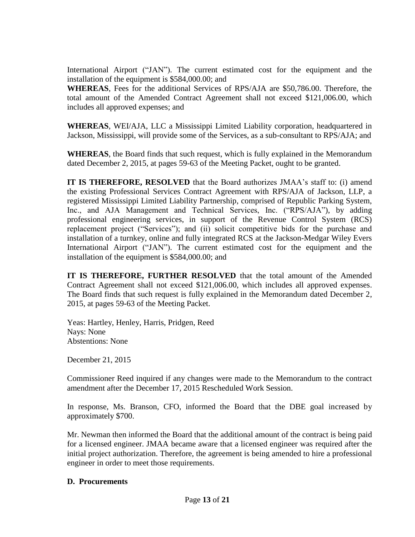International Airport ("JAN"). The current estimated cost for the equipment and the installation of the equipment is \$584,000.00; and

**WHEREAS**, Fees for the additional Services of RPS/AJA are \$50,786.00. Therefore, the total amount of the Amended Contract Agreement shall not exceed \$121,006.00, which includes all approved expenses; and

**WHEREAS**, WEI/AJA, LLC a Mississippi Limited Liability corporation, headquartered in Jackson, Mississippi, will provide some of the Services, as a sub-consultant to RPS/AJA; and

**WHEREAS**, the Board finds that such request, which is fully explained in the Memorandum dated December 2, 2015, at pages 59-63 of the Meeting Packet, ought to be granted.

**IT IS THEREFORE, RESOLVED** that the Board authorizes JMAA's staff to: (i) amend the existing Professional Services Contract Agreement with RPS/AJA of Jackson, LLP, a registered Mississippi Limited Liability Partnership, comprised of Republic Parking System, Inc., and AJA Management and Technical Services, Inc. ("RPS/AJA"), by adding professional engineering services, in support of the Revenue Control System (RCS) replacement project ("Services"); and (ii) solicit competitive bids for the purchase and installation of a turnkey, online and fully integrated RCS at the Jackson-Medgar Wiley Evers International Airport ("JAN"). The current estimated cost for the equipment and the installation of the equipment is \$584,000.00; and

**IT IS THEREFORE, FURTHER RESOLVED** that the total amount of the Amended Contract Agreement shall not exceed \$121,006.00, which includes all approved expenses. The Board finds that such request is fully explained in the Memorandum dated December 2, 2015, at pages 59-63 of the Meeting Packet.

Yeas: Hartley, Henley, Harris, Pridgen, Reed Nays: None Abstentions: None

December 21, 2015

Commissioner Reed inquired if any changes were made to the Memorandum to the contract amendment after the December 17, 2015 Rescheduled Work Session.

In response, Ms. Branson, CFO, informed the Board that the DBE goal increased by approximately \$700.

Mr. Newman then informed the Board that the additional amount of the contract is being paid for a licensed engineer. JMAA became aware that a licensed engineer was required after the initial project authorization. Therefore, the agreement is being amended to hire a professional engineer in order to meet those requirements.

#### **D. Procurements**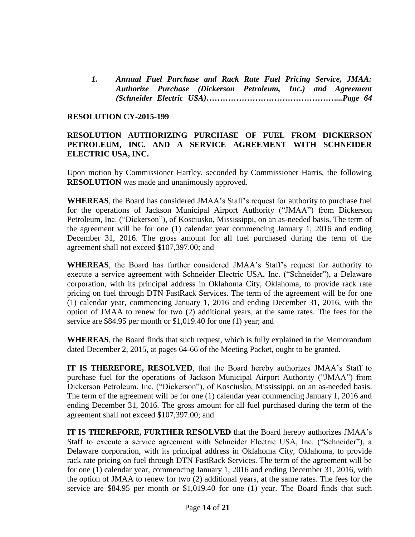*1. Annual Fuel Purchase and Rack Rate Fuel Pricing Service, JMAA: Authorize Purchase (Dickerson Petroleum, Inc.) and Agreement (Schneider Electric USA)…………………………………………...Page 64*

#### **RESOLUTION CY-2015-199**

#### **RESOLUTION AUTHORIZING PURCHASE OF FUEL FROM DICKERSON PETROLEUM, INC. AND A SERVICE AGREEMENT WITH SCHNEIDER ELECTRIC USA, INC.**

Upon motion by Commissioner Hartley, seconded by Commissioner Harris, the following **RESOLUTION** was made and unanimously approved.

**WHEREAS**, the Board has considered JMAA's Staff's request for authority to purchase fuel for the operations of Jackson Municipal Airport Authority ("JMAA") from Dickerson Petroleum, Inc. ("Dickerson"), of Kosciusko, Mississippi, on an as-needed basis. The term of the agreement will be for one (1) calendar year commencing January 1, 2016 and ending December 31, 2016. The gross amount for all fuel purchased during the term of the agreement shall not exceed \$107,397.00; and

**WHEREAS**, the Board has further considered JMAA's Staff's request for authority to execute a service agreement with Schneider Electric USA, Inc. ("Schneider"), a Delaware corporation, with its principal address in Oklahoma City, Oklahoma, to provide rack rate pricing on fuel through DTN FastRack Services. The term of the agreement will be for one (1) calendar year, commencing January 1, 2016 and ending December 31, 2016, with the option of JMAA to renew for two (2) additional years, at the same rates. The fees for the service are \$84.95 per month or \$1,019.40 for one (1) year; and

**WHEREAS**, the Board finds that such request, which is fully explained in the Memorandum dated December 2, 2015, at pages 64-66 of the Meeting Packet, ought to be granted.

**IT IS THEREFORE, RESOLVED**, that the Board hereby authorizes JMAA's Staff to purchase fuel for the operations of Jackson Municipal Airport Authority ("JMAA") from Dickerson Petroleum, Inc. ("Dickerson"), of Kosciusko, Mississippi, on an as-needed basis. The term of the agreement will be for one (1) calendar year commencing January 1, 2016 and ending December 31, 2016. The gross amount for all fuel purchased during the term of the agreement shall not exceed \$107,397.00; and

**IT IS THEREFORE, FURTHER RESOLVED** that the Board hereby authorizes JMAA's Staff to execute a service agreement with Schneider Electric USA, Inc. ("Schneider"), a Delaware corporation, with its principal address in Oklahoma City, Oklahoma, to provide rack rate pricing on fuel through DTN FastRack Services. The term of the agreement will be for one (1) calendar year, commencing January 1, 2016 and ending December 31, 2016, with the option of JMAA to renew for two (2) additional years, at the same rates. The fees for the service are \$84.95 per month or \$1,019.40 for one (1) year. The Board finds that such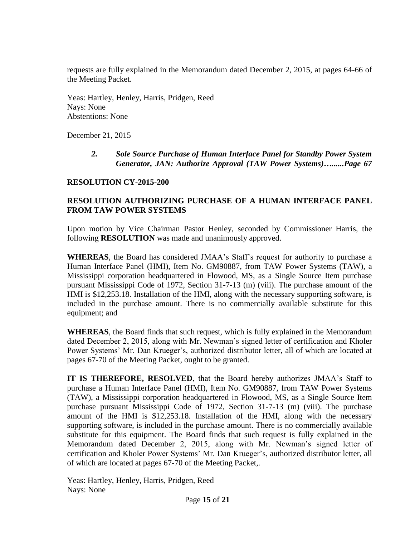requests are fully explained in the Memorandum dated December 2, 2015, at pages 64-66 of the Meeting Packet.

 Yeas: Hartley, Henley, Harris, Pridgen, Reed Nays: None Abstentions: None

December 21, 2015

*2. Sole Source Purchase of Human Interface Panel for Standby Power System Generator, JAN: Authorize Approval (TAW Power Systems)…......Page 67*

# **RESOLUTION CY-2015-200**

# **RESOLUTION AUTHORIZING PURCHASE OF A HUMAN INTERFACE PANEL FROM TAW POWER SYSTEMS**

Upon motion by Vice Chairman Pastor Henley, seconded by Commissioner Harris, the following **RESOLUTION** was made and unanimously approved.

**WHEREAS**, the Board has considered JMAA's Staff's request for authority to purchase a Human Interface Panel (HMI), Item No. GM90887, from TAW Power Systems (TAW), a Mississippi corporation headquartered in Flowood, MS, as a Single Source Item purchase pursuant Mississippi Code of 1972, Section 31-7-13 (m) (viii). The purchase amount of the HMI is \$12,253.18. Installation of the HMI, along with the necessary supporting software, is included in the purchase amount. There is no commercially available substitute for this equipment; and

**WHEREAS**, the Board finds that such request, which is fully explained in the Memorandum dated December 2, 2015, along with Mr. Newman's signed letter of certification and Kholer Power Systems' Mr. Dan Krueger's, authorized distributor letter, all of which are located at pages 67-70 of the Meeting Packet, ought to be granted.

**IT IS THEREFORE, RESOLVED**, that the Board hereby authorizes JMAA's Staff to purchase a Human Interface Panel (HMI), Item No. GM90887, from TAW Power Systems (TAW), a Mississippi corporation headquartered in Flowood, MS, as a Single Source Item purchase pursuant Mississippi Code of 1972, Section 31-7-13 (m) (viii). The purchase amount of the HMI is \$12,253.18. Installation of the HMI, along with the necessary supporting software, is included in the purchase amount. There is no commercially available substitute for this equipment. The Board finds that such request is fully explained in the Memorandum dated December 2, 2015, along with Mr. Newman's signed letter of certification and Kholer Power Systems' Mr. Dan Krueger's, authorized distributor letter, all of which are located at pages 67-70 of the Meeting Packet,.

 Yeas: Hartley, Henley, Harris, Pridgen, Reed Nays: None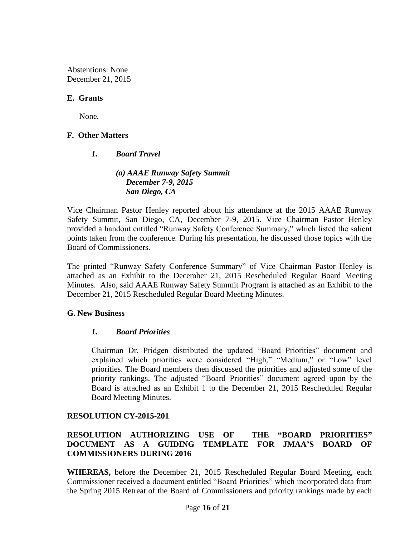Abstentions: None December 21, 2015

### **E. Grants**

None.

# **F. Other Matters**

#### *1. Board Travel*

# *(a) AAAE Runway Safety Summit December 7-9, 2015 San Diego, CA*

Vice Chairman Pastor Henley reported about his attendance at the 2015 AAAE Runway Safety Summit, San Diego, CA, December 7-9, 2015. Vice Chairman Pastor Henley provided a handout entitled "Runway Safety Conference Summary," which listed the salient points taken from the conference. During his presentation, he discussed those topics with the Board of Commissioners.

The printed "Runway Safety Conference Summary" of Vice Chairman Pastor Henley is attached as an Exhibit to the December 21, 2015 Rescheduled Regular Board Meeting Minutes. Also, said AAAE Runway Safety Summit Program is attached as an Exhibit to the December 21, 2015 Rescheduled Regular Board Meeting Minutes.

# **G. New Business**

# *1. Board Priorities*

Chairman Dr. Pridgen distributed the updated "Board Priorities" document and explained which priorities were considered "High," "Medium," or "Low" level priorities. The Board members then discussed the priorities and adjusted some of the priority rankings. The adjusted "Board Priorities" document agreed upon by the Board is attached as an Exhibit 1 to the December 21, 2015 Rescheduled Regular Board Meeting Minutes.

# **RESOLUTION CY-2015-201**

# **RESOLUTION AUTHORIZING USE OF THE "BOARD PRIORITIES" DOCUMENT AS A GUIDING TEMPLATE FOR JMAA'S BOARD OF COMMISSIONERS DURING 2016**

**WHEREAS,** before the December 21, 2015 Rescheduled Regular Board Meeting, each Commissioner received a document entitled "Board Priorities" which incorporated data from the Spring 2015 Retreat of the Board of Commissioners and priority rankings made by each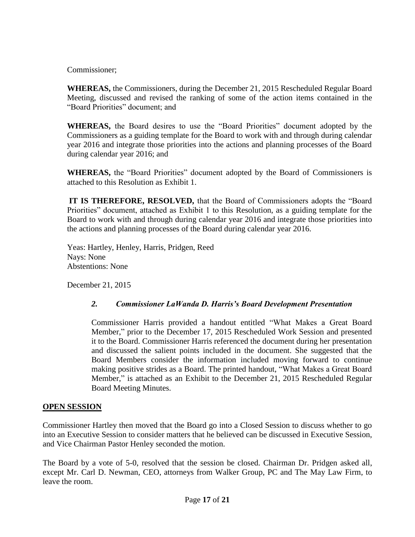Commissioner;

**WHEREAS,** the Commissioners, during the December 21, 2015 Rescheduled Regular Board Meeting, discussed and revised the ranking of some of the action items contained in the "Board Priorities" document; and

**WHEREAS,** the Board desires to use the "Board Priorities" document adopted by the Commissioners as a guiding template for the Board to work with and through during calendar year 2016 and integrate those priorities into the actions and planning processes of the Board during calendar year 2016; and

**WHEREAS,** the "Board Priorities" document adopted by the Board of Commissioners is attached to this Resolution as Exhibit 1.

**IT IS THEREFORE, RESOLVED,** that the Board of Commissioners adopts the "Board Priorities" document, attached as Exhibit 1 to this Resolution, as a guiding template for the Board to work with and through during calendar year 2016 and integrate those priorities into the actions and planning processes of the Board during calendar year 2016.

 Yeas: Hartley, Henley, Harris, Pridgen, Reed Nays: None Abstentions: None

December 21, 2015

# *2. Commissioner LaWanda D. Harris's Board Development Presentation*

Commissioner Harris provided a handout entitled "What Makes a Great Board Member," prior to the December 17, 2015 Rescheduled Work Session and presented it to the Board. Commissioner Harris referenced the document during her presentation and discussed the salient points included in the document. She suggested that the Board Members consider the information included moving forward to continue making positive strides as a Board. The printed handout, "What Makes a Great Board Member," is attached as an Exhibit to the December 21, 2015 Rescheduled Regular Board Meeting Minutes.

# **OPEN SESSION**

Commissioner Hartley then moved that the Board go into a Closed Session to discuss whether to go into an Executive Session to consider matters that he believed can be discussed in Executive Session, and Vice Chairman Pastor Henley seconded the motion.

The Board by a vote of 5-0, resolved that the session be closed. Chairman Dr. Pridgen asked all, except Mr. Carl D. Newman, CEO, attorneys from Walker Group, PC and The May Law Firm, to leave the room.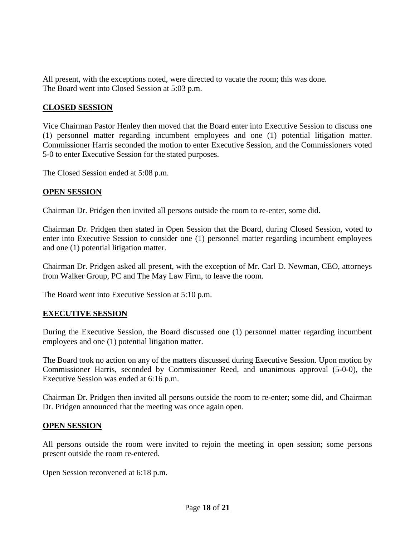All present, with the exceptions noted, were directed to vacate the room; this was done. The Board went into Closed Session at 5:03 p.m.

# **CLOSED SESSION**

Vice Chairman Pastor Henley then moved that the Board enter into Executive Session to discuss one (1) personnel matter regarding incumbent employees and one (1) potential litigation matter. Commissioner Harris seconded the motion to enter Executive Session, and the Commissioners voted 5-0 to enter Executive Session for the stated purposes.

The Closed Session ended at 5:08 p.m.

# **OPEN SESSION**

Chairman Dr. Pridgen then invited all persons outside the room to re-enter, some did.

Chairman Dr. Pridgen then stated in Open Session that the Board, during Closed Session, voted to enter into Executive Session to consider one (1) personnel matter regarding incumbent employees and one (1) potential litigation matter.

Chairman Dr. Pridgen asked all present, with the exception of Mr. Carl D. Newman, CEO, attorneys from Walker Group, PC and The May Law Firm, to leave the room.

The Board went into Executive Session at 5:10 p.m.

# **EXECUTIVE SESSION**

During the Executive Session, the Board discussed one (1) personnel matter regarding incumbent employees and one (1) potential litigation matter.

The Board took no action on any of the matters discussed during Executive Session. Upon motion by Commissioner Harris, seconded by Commissioner Reed, and unanimous approval (5-0-0), the Executive Session was ended at 6:16 p.m.

Chairman Dr. Pridgen then invited all persons outside the room to re-enter; some did, and Chairman Dr. Pridgen announced that the meeting was once again open.

#### **OPEN SESSION**

All persons outside the room were invited to rejoin the meeting in open session; some persons present outside the room re-entered.

Open Session reconvened at 6:18 p.m.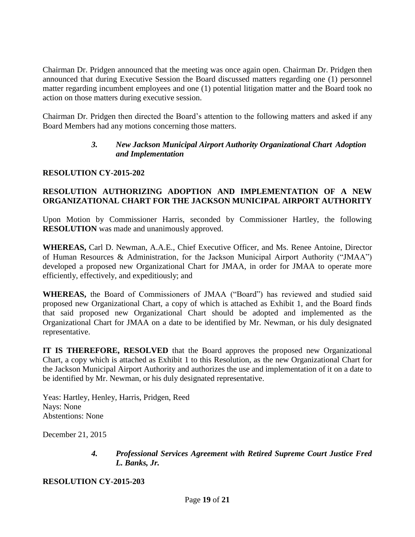Chairman Dr. Pridgen announced that the meeting was once again open. Chairman Dr. Pridgen then announced that during Executive Session the Board discussed matters regarding one (1) personnel matter regarding incumbent employees and one (1) potential litigation matter and the Board took no action on those matters during executive session.

Chairman Dr. Pridgen then directed the Board's attention to the following matters and asked if any Board Members had any motions concerning those matters.

# *3. New Jackson Municipal Airport Authority Organizational Chart Adoption and Implementation*

# **RESOLUTION CY-2015-202**

# **RESOLUTION AUTHORIZING ADOPTION AND IMPLEMENTATION OF A NEW ORGANIZATIONAL CHART FOR THE JACKSON MUNICIPAL AIRPORT AUTHORITY**

Upon Motion by Commissioner Harris, seconded by Commissioner Hartley, the following **RESOLUTION** was made and unanimously approved.

**WHEREAS,** Carl D. Newman, A.A.E., Chief Executive Officer, and Ms. Renee Antoine, Director of Human Resources & Administration, for the Jackson Municipal Airport Authority ("JMAA") developed a proposed new Organizational Chart for JMAA, in order for JMAA to operate more efficiently, effectively, and expeditiously; and

**WHEREAS,** the Board of Commissioners of JMAA ("Board") has reviewed and studied said proposed new Organizational Chart, a copy of which is attached as Exhibit 1, and the Board finds that said proposed new Organizational Chart should be adopted and implemented as the Organizational Chart for JMAA on a date to be identified by Mr. Newman, or his duly designated representative.

**IT IS THEREFORE, RESOLVED** that the Board approves the proposed new Organizational Chart, a copy which is attached as Exhibit 1 to this Resolution, as the new Organizational Chart for the Jackson Municipal Airport Authority and authorizes the use and implementation of it on a date to be identified by Mr. Newman, or his duly designated representative.

Yeas: Hartley, Henley, Harris, Pridgen, Reed Nays: None Abstentions: None

December 21, 2015

# *4. Professional Services Agreement with Retired Supreme Court Justice Fred L. Banks, Jr.*

**RESOLUTION CY-2015-203**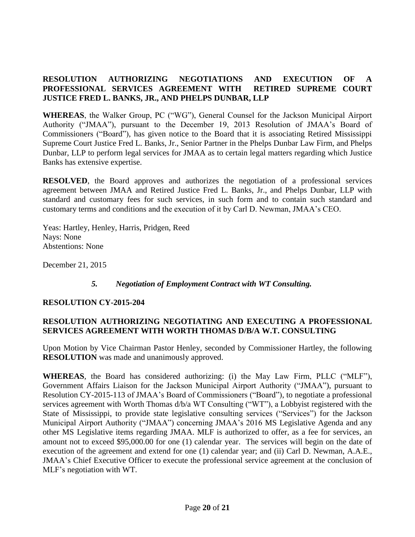# **RESOLUTION AUTHORIZING NEGOTIATIONS AND EXECUTION OF A PROFESSIONAL SERVICES AGREEMENT WITH RETIRED SUPREME COURT JUSTICE FRED L. BANKS, JR., AND PHELPS DUNBAR, LLP**

**WHEREAS**, the Walker Group, PC ("WG"), General Counsel for the Jackson Municipal Airport Authority ("JMAA"), pursuant to the December 19, 2013 Resolution of JMAA's Board of Commissioners ("Board"), has given notice to the Board that it is associating Retired Mississippi Supreme Court Justice Fred L. Banks, Jr., Senior Partner in the Phelps Dunbar Law Firm, and Phelps Dunbar, LLP to perform legal services for JMAA as to certain legal matters regarding which Justice Banks has extensive expertise.

**RESOLVED**, the Board approves and authorizes the negotiation of a professional services agreement between JMAA and Retired Justice Fred L. Banks, Jr., and Phelps Dunbar, LLP with standard and customary fees for such services, in such form and to contain such standard and customary terms and conditions and the execution of it by Carl D. Newman, JMAA's CEO.

Yeas: Hartley, Henley, Harris, Pridgen, Reed Nays: None Abstentions: None

December 21, 2015

# *5. Negotiation of Employment Contract with WT Consulting.*

# **RESOLUTION CY-2015-204**

# **RESOLUTION AUTHORIZING NEGOTIATING AND EXECUTING A PROFESSIONAL SERVICES AGREEMENT WITH WORTH THOMAS D/B/A W.T. CONSULTING**

Upon Motion by Vice Chairman Pastor Henley, seconded by Commissioner Hartley, the following **RESOLUTION** was made and unanimously approved.

**WHEREAS**, the Board has considered authorizing: (i) the May Law Firm, PLLC ("MLF"), Government Affairs Liaison for the Jackson Municipal Airport Authority ("JMAA"), pursuant to Resolution CY-2015-113 of JMAA's Board of Commissioners ("Board"), to negotiate a professional services agreement with Worth Thomas d/b/a WT Consulting ("WT"), a Lobbyist registered with the State of Mississippi, to provide state legislative consulting services ("Services") for the Jackson Municipal Airport Authority ("JMAA") concerning JMAA's 2016 MS Legislative Agenda and any other MS Legislative items regarding JMAA. MLF is authorized to offer, as a fee for services, an amount not to exceed \$95,000.00 for one (1) calendar year. The services will begin on the date of execution of the agreement and extend for one (1) calendar year; and (ii) Carl D. Newman, A.A.E., JMAA's Chief Executive Officer to execute the professional service agreement at the conclusion of MLF's negotiation with WT.